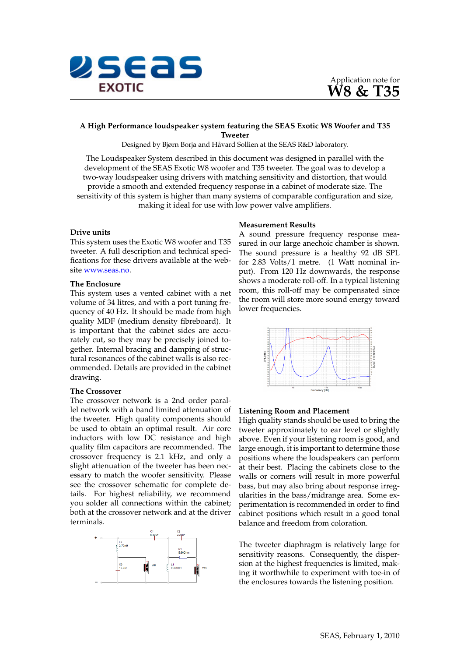



# **A High Performance loudspeaker system featuring the SEAS Exotic W8 Woofer and T35 Tweeter**

Designed by Bjørn Borja and Håvard Sollien at the SEAS R&D laboratory.

The Loudspeaker System described in this document was designed in parallel with the development of the SEAS Exotic W8 woofer and T35 tweeter. The goal was to develop a two-way loudspeaker using drivers with matching sensitivity and distortion, that would provide a smooth and extended frequency response in a cabinet of moderate size. The sensitivity of this system is higher than many systems of comparable configuration and size, making it ideal for use with low power valve amplifiers.

## **Drive units**

This system uses the Exotic W8 woofer and T35 tweeter. A full description and technical specifications for these drivers available at the website [www.seas.no.](http://seas.no/)

## **The Enclosure**

This system uses a vented cabinet with a net volume of 34 litres, and with a port tuning frequency of 40 Hz. It should be made from high quality MDF (medium density fibreboard). It is important that the cabinet sides are accurately cut, so they may be precisely joined together. Internal bracing and damping of structural resonances of the cabinet walls is also recommended. Details are provided in the cabinet drawing.

#### **The Crossover**

The crossover network is a 2nd order parallel network with a band limited attenuation of the tweeter. High quality components should be used to obtain an optimal result. Air core inductors with low DC resistance and high quality film capacitors are recommended. The crossover frequency is 2.1 kHz, and only a slight attenuation of the tweeter has been necessary to match the woofer sensitivity. Please see the crossover schematic for complete details. For highest reliability, we recommend you solder all connections within the cabinet; both at the crossover network and at the driver terminals.



### **Measurement Results**

A sound pressure frequency response measured in our large anechoic chamber is shown. The sound pressure is a healthy 92 dB SPL for 2.83 Volts/1 metre. (1 Watt nominal input). From 120 Hz downwards, the response shows a moderate roll-off. In a typical listening room, this roll-off may be compensated since the room will store more sound energy toward lower frequencies.



### **Listening Room and Placement**

High quality stands should be used to bring the tweeter approximately to ear level or slightly above. Even if your listening room is good, and large enough, it is important to determine those positions where the loudspeakers can perform at their best. Placing the cabinets close to the walls or corners will result in more powerful bass, but may also bring about response irregularities in the bass/midrange area. Some experimentation is recommended in order to find cabinet positions which result in a good tonal balance and freedom from coloration.

The tweeter diaphragm is relatively large for sensitivity reasons. Consequently, the dispersion at the highest frequencies is limited, making it worthwhile to experiment with toe-in of the enclosures towards the listening position.